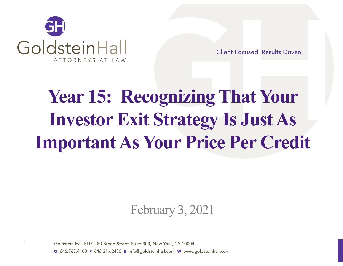

Client Focused, Results Driven.

## **Year 15: Recognizing That Your Investor Exit Strategy Is Just As Important As Your Price Per Credit**

February 3, 2021



Goldstein Hall PLLC, 80 Broad Street, Suite 303, New York, NY 10004 O 646.768.4100 F 646.219.2450 E info@goldsteinhall.com W www.goldsteinhall.com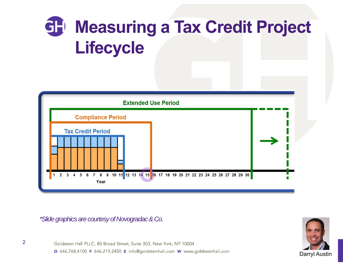### **GH Measuring a Tax Credit Project Lifecycle**



*\*Slide graphics are courtesy of Novogradac & Co.*



2

Goldstein Hall PLLC, 80 Broad Street, Suite 303, New York, NY 10004 O 646.768.4100 F 646.219.2450 E info@goldsteinhall.com W www.goldsteinhall.com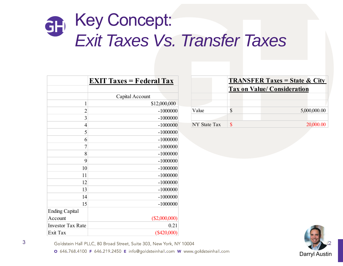### Key Concept: CH *Exit Taxes Vs. Transfer Taxes*

|                          | <b>EXIT Taxes = Federal Tax</b> |
|--------------------------|---------------------------------|
|                          |                                 |
|                          | Capital Account                 |
| 1                        | \$12,000,000                    |
| $\overline{2}$           | $-1000000$                      |
| 3                        | $-1000000$                      |
| $\overline{4}$           | $-1000000$                      |
| 5                        | $-1000000$                      |
| 6                        | $-1000000$                      |
| 7                        | $-1000000$                      |
| 8                        | $-1000000$                      |
| 9                        | $-1000000$                      |
| 10                       | $-1000000$                      |
| 11                       | $-1000000$                      |
| 12                       | $-1000000$                      |
| 13                       | $-1000000$                      |
| 14                       | $-1000000$                      |
| 15                       | $-1000000$                      |
| <b>Ending Capital</b>    |                                 |
| Account                  | $(\$2,000,000)$                 |
| <b>Investor Tax Rate</b> | 0.21                            |
| Exit Tax                 | $(\$420,000)$                   |

|              | <b>TRANSFER Taxes = State &amp; City</b><br><b>Tax on Value/ Consideration</b> |  |              |  |
|--------------|--------------------------------------------------------------------------------|--|--------------|--|
|              |                                                                                |  |              |  |
| Value        |                                                                                |  | 5,000,000.00 |  |
| NY State Tax |                                                                                |  | 20,000.00    |  |



Goldstein Hall PLLC, 80 Broad Street, Suite 303, New York, NY 10004

O 646.768.4100 F 646.219.2450 E info@goldsteinhall.com W www.goldsteinhall.com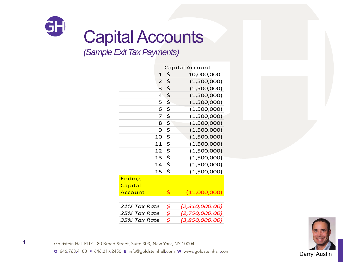

## Capital Accounts

*(Sample Exit Tax Payments)*

|                         | <b>Capital Account</b> |
|-------------------------|------------------------|
| 1                       | \$<br>10,000,000       |
| $\overline{2}$          | \$<br>(1,500,000)      |
| 3                       | \$<br>(1,500,000)      |
| 4                       | \$<br>(1,500,000)      |
| 5                       | \$<br>(1,500,000)      |
| 6                       | \$<br>(1,500,000)      |
| $\overline{\mathbf{z}}$ | \$<br>(1,500,000)      |
| 8                       | \$<br>(1,500,000)      |
| 9                       | \$<br>(1,500,000)      |
| 10                      | \$<br>(1,500,000)      |
| 11                      | \$<br>(1,500,000)      |
| 12                      | \$<br>(1,500,000)      |
| 13                      | \$<br>(1,500,000)      |
| 14                      | \$<br>(1,500,000)      |
| 15                      | \$<br>(1,500,000)      |
| <b>Ending</b>           |                        |
| Capital                 |                        |
| Account                 | \$<br>(11,000,000)     |
|                         |                        |
| 21% Tax Rate            | \$<br>(2,310,000.00)   |
| 25% Tax Rate            | \$<br>(2,750,000.00)   |
| 35% Tax Rate            | \$<br>(3,850,000.00)   |



Goldstein Hall PLLC, 80 Broad Street, Suite 303, New York, NY 10004

O 646.768.4100 F 646.219.2450 E info@goldsteinhall.com W www.goldsteinhall.com

4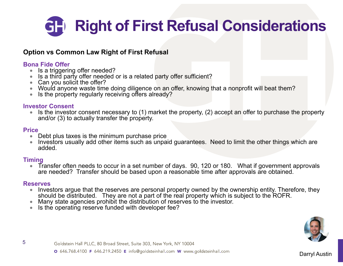## **Right of First Refusal Considerations**

#### **Option vs Common Law Right of First Refusal**

#### **Bona Fide Offer**

- $\bullet$ Is a triggering offer needed?
- 0 Is a third party offer needed or is a related party offer sufficient?
- 0 Can you solicit the offer?
- 0 Would anyone waste time doing diligence on an offer, knowing that a nonprofit will beat them?
- 0 Is the property regularly receiving offers already?

#### **Investor Consent**

 $\bullet$  Is the investor consent necessary to (1) market the property, (2) accept an offer to purchase the property and/or (3) to actually transfer the property.

#### **Price**

- $\bullet$ Debt plus taxes is the minimum purchase price
- $\bullet$  Investors usually add other items such as unpaid guarantees. Need to limit the other things which are added.

#### **Timing**

0 Transfer often needs to occur in a set number of days. 90, 120 or 180. What if government approvals are needed? Transfer should be based upon a reasonable time after approvals are obtained.

#### **Reserves**

- $\bullet$  Investors argue that the reserves are personal property owned by the ownership entity. Therefore, they should be distributed. They are not a part of the real property which is subject to the ROFR.
- 0 Many state agencies prohibit the distribution of reserves to the investor.
- $\bullet$ Is the operating reserve funded with developer fee?



Goldstein Hall PLLC, 80 Broad Street, Suite 303, New York, NY 10004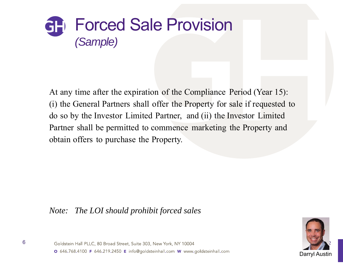

At any time after the expiration of the Compliance Period (Year 15): (i) the General Partners shall offer the Property for sale if requested to do so by the Investor Limited Partner, and (ii) the Investor Limited Partner shall be permitted to commence marketing the Property and obtain offers to purchase the Property.

#### *Note: The LOI should prohibit forced sales*



Goldstein Hall PLLC, 80 Broad Street, Suite 303, New York, NY 10004 O 646.768.4100 F 646.219.2450 E info@goldsteinhall.com W www.goldsteinhall.com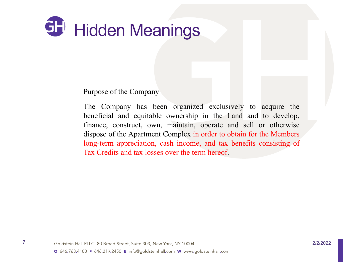

#### Purpose of the Company

The Company has been organized exclusively to acquire the beneficial and equitable ownership in the Land and to develop, finance, construct, own, maintain, operate and sell or otherwise dispose of the Apartment Complex in order to obtain for the Members long-term appreciation, cash income, and tax benefits consisting of Tax Credits and tax losses over the term hereof.

7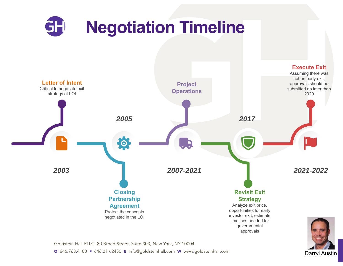

Darryl Austin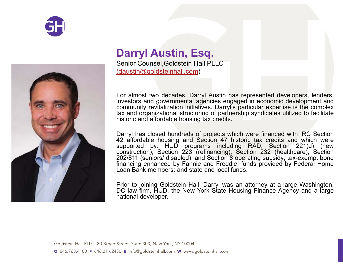



### **Darryl Austin, Esq.**

Senior Counsel,Goldstein Hall PLLC (daustin@goldsteinhall.com)

For almost two decades, Darryl Austin has represented developers, lenders, investors and governmental agencies engaged in economic development and community revitalization initiatives. Darryl's particular expertise is the complex tax and organizational structuring of partnership syndicates utilized to facilitate historic and affordable housing tax credits.

Darryl has closed hundreds of projects which were financed with IRC Sectio n 42 affordable housing and Section 47 historic tax credits and which were supported by: HUD programs including RAD, Section 221(d) (new construction), Section 223 (refinancing), Section 232 (healthcare), Section 202/811 (seniors/ disabled), and Section 8 operating subsidy; tax-exempt bond financing enhanced by Fannie and Freddie; funds provided by Federal Home Loan Bank members; and state and local funds.

Prior to joining Goldstein Hall, Darryl was an attorney at <sup>a</sup> large Washington, DC law firm, HUD, the New York State Housing Finance Agency and a large national developer.